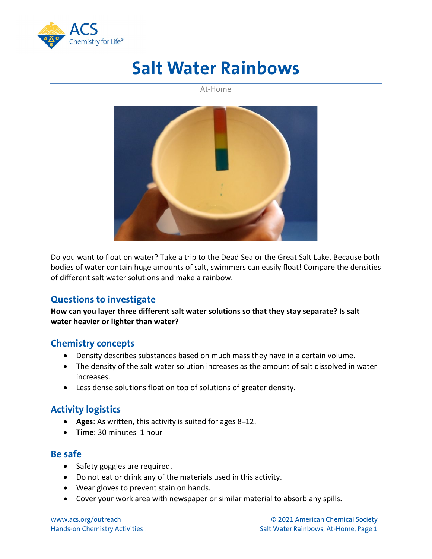

# **Salt Water Rainbows**

At-Home



Do you want to float on water? Take a trip to the Dead Sea or the Great Salt Lake. Because both bodies of water contain huge amounts of salt, swimmers can easily float! Compare the densities of different salt water solutions and make a rainbow.

# **Questions to investigate**

**How can you layer three different salt water solutions so that they stay separate? Is salt water heavier or lighter than water?**

# **Chemistry concepts**

- Density describes substances based on much mass they have in a certain volume.
- The density of the salt water solution increases as the amount of salt dissolved in water increases.
- Less dense solutions float on top of solutions of greater density.

# **Activity logistics**

- **Ages**: As written, this activity is suited for ages 8–12.
- **Time**: 30 minutes–1 hour

#### **Be safe**

- Safety goggles are required.
- Do not eat or drink any of the materials used in this activity.
- Wear gloves to prevent stain on hands.
- Cover your work area with newspaper or similar material to absorb any spills.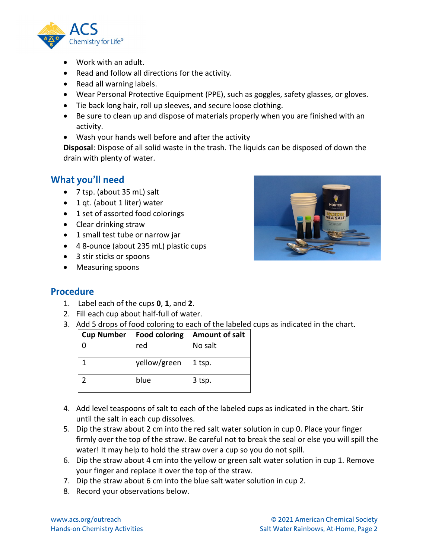

- Work with an adult.
- Read and follow all directions for the activity.
- Read all warning labels.
- Wear Personal Protective Equipment (PPE), such as goggles, safety glasses, or gloves.
- Tie back long hair, roll up sleeves, and secure loose clothing.
- Be sure to clean up and dispose of materials properly when you are finished with an activity.
- Wash your hands well before and after the activity

**Disposal**: Dispose of all solid waste in the trash. The liquids can be disposed of down the drain with plenty of water.

# **What you'll need**

- 7 tsp. (about 35 mL) salt
- 1 qt. (about 1 liter) water
- 1 set of assorted food colorings
- Clear drinking straw
- 1 small test tube or narrow jar
- 4 8-ounce (about 235 mL) plastic cups
- 3 stir sticks or spoons
- Measuring spoons



#### **Procedure**

- 1. Label each of the cups **0**, **1**, and **2**.
- 2. Fill each cup about half-full of water.
- 3. Add 5 drops of food coloring to each of the labeled cups as indicated in the chart.

| <b>Cup Number</b> | <b>Food coloring</b> | <b>Amount of salt</b> |
|-------------------|----------------------|-----------------------|
|                   | red                  | No salt               |
|                   | yellow/green         | 1 tsp.                |
|                   | blue                 | 3 tsp.                |

- 4. Add level teaspoons of salt to each of the labeled cups as indicated in the chart. Stir until the salt in each cup dissolves.
- 5. Dip the straw about 2 cm into the red salt water solution in cup 0. Place your finger firmly over the top of the straw. Be careful not to break the seal or else you will spill the water! It may help to hold the straw over a cup so you do not spill.
- 6. Dip the straw about 4 cm into the yellow or green salt water solution in cup 1. Remove your finger and replace it over the top of the straw.
- 7. Dip the straw about 6 cm into the blue salt water solution in cup 2.
- 8. Record your observations below.